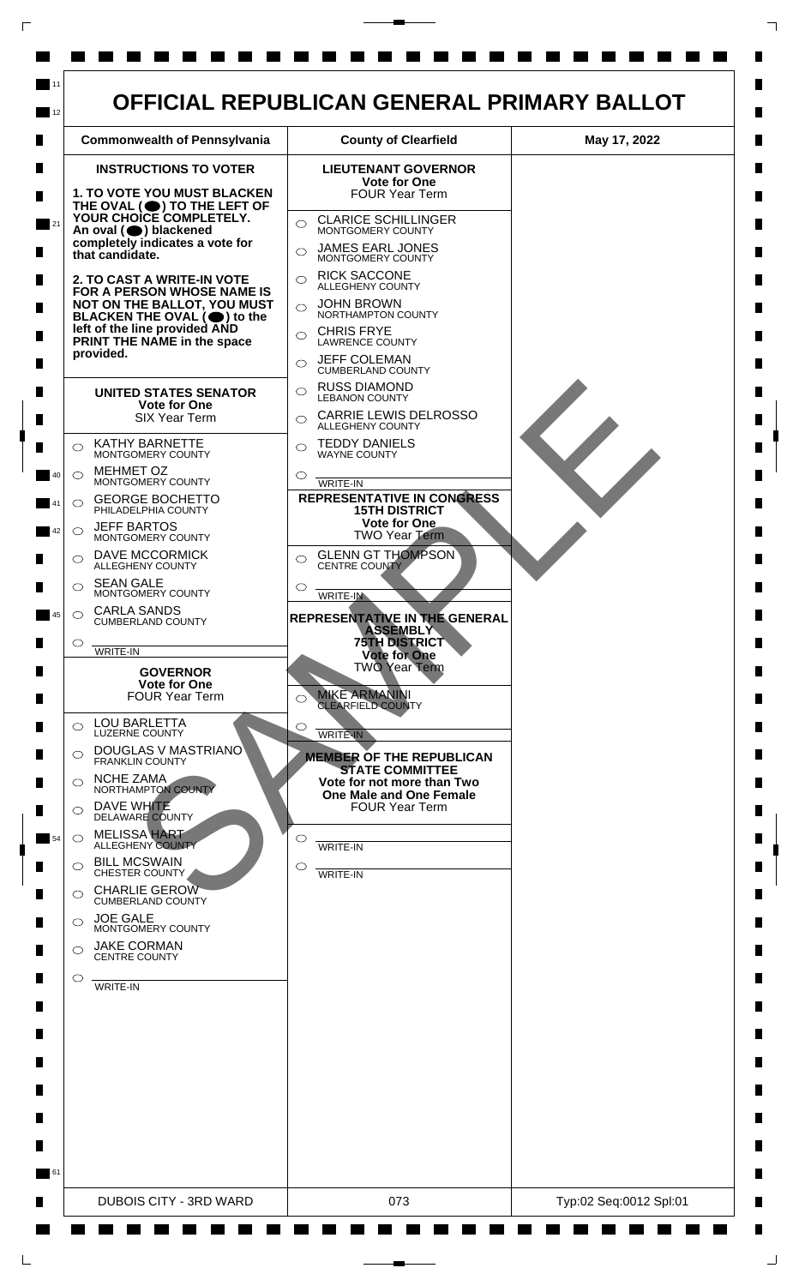

 $\mathsf{L}$ 

 $\Box$